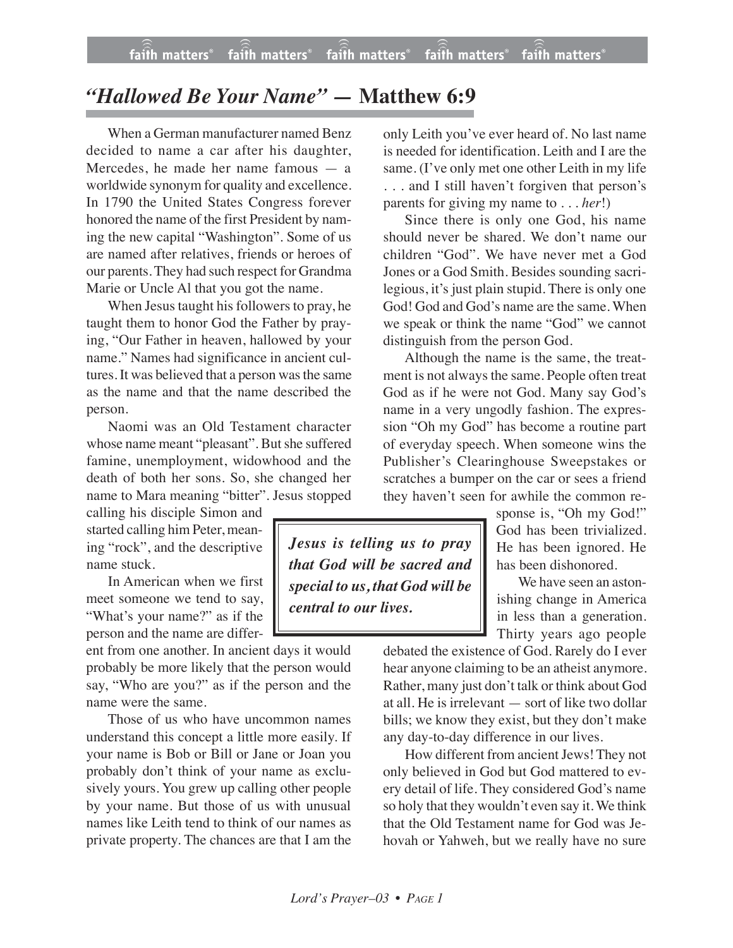## *"Hallowed Be Your Name" —* **Matthew 6:9**

When a German manufacturer named Benz decided to name a car after his daughter, Mercedes, he made her name famous — a worldwide synonym for quality and excellence. In 1790 the United States Congress forever honored the name of the first President by naming the new capital "Washington". Some of us are named after relatives, friends or heroes of our parents. They had such respect for Grandma Marie or Uncle Al that you got the name.

When Jesus taught his followers to pray, he taught them to honor God the Father by praying, "Our Father in heaven, hallowed by your name." Names had significance in ancient cultures. It was believed that a person wasthe same as the name and that the name described the person.

Naomi was an Old Testament character whose name meant "pleasant". But she suffered famine, unemployment, widowhood and the death of both her sons. So, she changed her name to Mara meaning "bitter". Jesus stopped

calling his disciple Simon and started calling him Peter, meaning "rock", and the descriptive name stuck.

In American when we first meet someone we tend to say, "What's your name?" as if the person and the name are differ-

ent from one another. In ancient days it would probably be more likely that the person would say, "Who are you?" as if the person and the name were the same.

Those of us who have uncommon names understand this concept a little more easily. If your name is Bob or Bill or Jane or Joan you probably don't think of your name as exclusively yours. You grew up calling other people by your name. But those of us with unusual names like Leith tend to think of our names as private property. The chances are that I am the

only Leith you've ever heard of. No last name is needed for identification. Leith and I are the same. (I've only met one other Leith in my life . . . and I still haven't forgiven that person's parents for giving my name to . . . *her*!)

Since there is only one God, his name should never be shared. We don't name our children "God". We have never met a God Jones or a God Smith. Besides sounding sacrilegious, it's just plain stupid. There is only one God! God and God's name are the same. When we speak or think the name "God" we cannot distinguish from the person God.

Although the name is the same, the treatment is not always the same. People often treat God as if he were not God. Many say God's name in a very ungodly fashion. The expression "Oh my God" has become a routine part of everyday speech. When someone wins the Publisher's Clearinghouse Sweepstakes or scratches a bumper on the car or sees a friend they haven't seen for awhile the common re-

*Jesus is telling us to pray that God will be sacred and special to us, that God will be central to our lives.*

sponse is, "Oh my God!" God has been trivialized. He has been ignored. He has been dishonored.

We have seen an astonishing change in America in less than a generation. Thirty years ago people

debated the existence of God. Rarely do I ever hear anyone claiming to be an atheist anymore. Rather, many just don't talk or think about God at all. He is irrelevant — sort of like two dollar bills; we know they exist, but they don't make any day-to-day difference in our lives.

How different from ancient Jews! They not only believed in God but God mattered to every detail of life. They considered God's name so holy that they wouldn't even say it. We think that the Old Testament name for God was Jehovah or Yahweh, but we really have no sure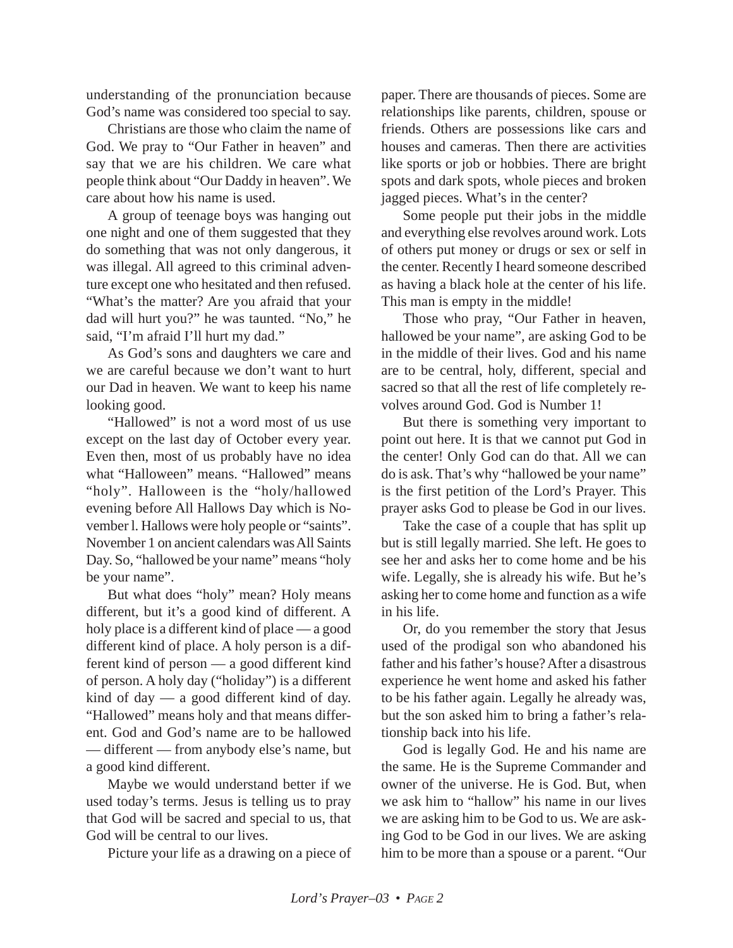understanding of the pronunciation because God's name was considered too special to say.

Christians are those who claim the name of God. We pray to "Our Father in heaven" and say that we are his children. We care what people think about "Our Daddy in heaven". We care about how his name is used.

A group of teenage boys was hanging out one night and one of them suggested that they do something that was not only dangerous, it was illegal. All agreed to this criminal adventure except one who hesitated and then refused. "What's the matter? Are you afraid that your dad will hurt you?" he was taunted. "No," he said, "I'm afraid I'll hurt my dad."

As God's sons and daughters we care and we are careful because we don't want to hurt our Dad in heaven. We want to keep his name looking good.

"Hallowed" is not a word most of us use except on the last day of October every year. Even then, most of us probably have no idea what "Halloween" means. "Hallowed" means "holy". Halloween is the "holy/hallowed evening before All Hallows Day which is November l. Hallows were holy people or "saints". November 1 on ancient calendars was All Saints Day. So, "hallowed be your name" means "holy be your name".

But what does "holy" mean? Holy means different, but it's a good kind of different. A holy place is a different kind of place — a good different kind of place. A holy person is a different kind of person — a good different kind of person. A holy day ("holiday") is a different kind of day  $-$  a good different kind of day. "Hallowed" means holy and that means different. God and God's name are to be hallowed — different — from anybody else's name, but a good kind different.

Maybe we would understand better if we used today's terms. Jesus is telling us to pray that God will be sacred and special to us, that God will be central to our lives.

Picture your life as a drawing on a piece of

paper. There are thousands of pieces. Some are relationships like parents, children, spouse or friends. Others are possessions like cars and houses and cameras. Then there are activities like sports or job or hobbies. There are bright spots and dark spots, whole pieces and broken jagged pieces. What's in the center?

Some people put their jobs in the middle and everything else revolves around work. Lots of others put money or drugs or sex or self in the center. Recently I heard someone described as having a black hole at the center of his life. This man is empty in the middle!

Those who pray, "Our Father in heaven, hallowed be your name", are asking God to be in the middle of their lives. God and his name are to be central, holy, different, special and sacred so that all the rest of life completely revolves around God. God is Number 1!

But there is something very important to point out here. It is that we cannot put God in the center! Only God can do that. All we can do is ask. That's why "hallowed be your name" is the first petition of the Lord's Prayer. This prayer asks God to please be God in our lives.

Take the case of a couple that has split up but is still legally married. She left. He goes to see her and asks her to come home and be his wife. Legally, she is already his wife. But he's asking her to come home and function as a wife in his life.

Or, do you remember the story that Jesus used of the prodigal son who abandoned his father and his father's house? After a disastrous experience he went home and asked his father to be his father again. Legally he already was, but the son asked him to bring a father's relationship back into his life.

God is legally God. He and his name are the same. He is the Supreme Commander and owner of the universe. He is God. But, when we ask him to "hallow" his name in our lives we are asking him to be God to us. We are asking God to be God in our lives. We are asking him to be more than a spouse or a parent. "Our